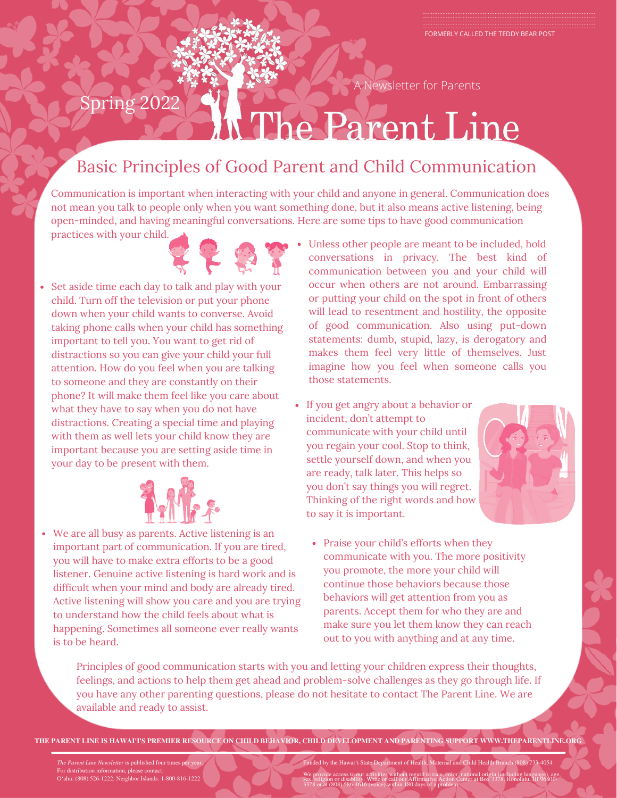A Newsletter for Parents

# Spring 2022 The Parent Line

## Basic Principles of Good Parent and Child Communication

Communication is important when interacting with your child and anyone in general. Communication does not mean you talk to people only when you want something done, but it also means active listening, being open-minded, and having meaningful conversations. Here are some tips to have good communication

practices with your child.



Set aside time each day to talk and play with your child. Turn off the television or put your phone down when your child wants to converse. Avoid taking phone calls when your child has something important to tell you. You want to get rid of distractions so you can give your child your full attention. How do you feel when you are talking to someone and they are constantly on their phone? It will make them feel like you care about what they have to say when you do not have distractions. Creating a special time and playing with them as well lets your child know they are important because you are setting aside time in your day to be present with them.



We are all busy as parents. Active listening is an important part of communication. If you are tired, you will have to make extra efforts to be a good listener. Genuine active listening is hard work and is difficult when your mind and body are already tired. Active listening will show you care and you are trying to understand how the child feels about what is happening. Sometimes all someone ever really wants is to be heard.

- Unless other people are meant to be included, hold conversations in privacy. The best kind of communication between you and your child will occur when others are not around. Embarrassing or putting your child on the spot in front of others will lead to resentment and hostility, the opposite of good communication. Also using put-down statements: dumb, stupid, lazy, is derogatory and makes them feel very little of themselves. Just imagine how you feel when someone calls you those statements.
- If you get angry about a behavior or incident, don't attempt to communicate with your child until you regain your cool. Stop to think, settle yourself down, and when you are ready, talk later. This helps so you don't say things you will regret. Thinking of the right words and how to say it is important.



• Praise your child's efforts when they communicate with you. The more positivity you promote, the more your child will continue those behaviors because those behaviors will get attention from you as parents. Accept them for who they are and make sure you let them know they can reach out to you with anything and at any time.

Principles of good communication starts with you and letting your children express their thoughts, feelings, and actions to help them get ahead and problem-solve challenges as they go through life. If you have any other parenting questions, please do not hesitate to contact The Parent Line. We are available and ready to assist.

**THE PARENT LINE IS HAWAI'I'S PREMIER RESOURCE ON CHILD BEHAVIOR, CHILD DEVELOPMENT AND PARENTING SUPPORT WWW.THEPARENTLINE.ORG**

*The Parent Line Newsletter* is published four times per year. For distribution information, please contact: O'ahu: (808) 526-1222; Neighbor Islands: 1-800-816-1222 Funded by the Hawai'i State Department of Health, Maternal and Child Health Branch (808) 733-4054 We provide access to our activities without regard to race, color, national origin (including language), age,<br>sex, religion or disability. Write or call our Affirmative Action Center at Box 3378, Honolulu, HI 96801-<br>3378 o